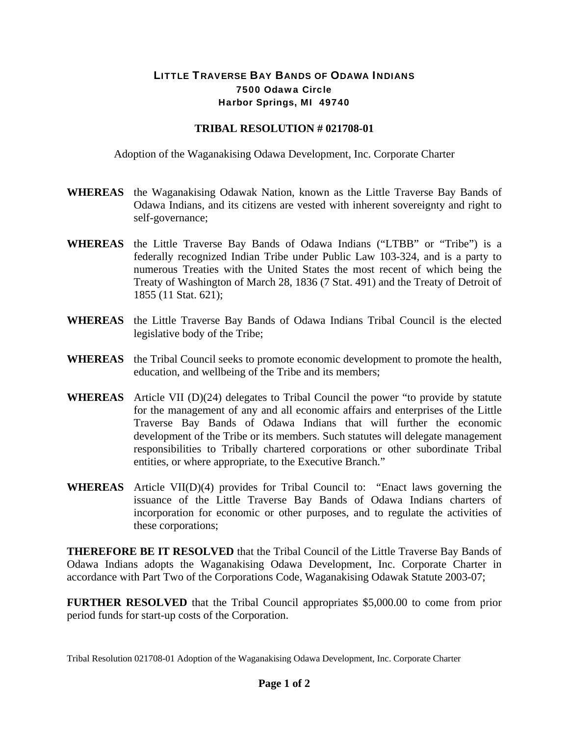## LITTLE TRAVERSE BAY BANDS OF ODAWA INDIANS 7500 Odawa Circle Harbor Springs, MI 49740

## **TRIBAL RESOLUTION # 021708-01**

Adoption of the Waganakising Odawa Development, Inc. Corporate Charter

- **WHEREAS** the Waganakising Odawak Nation, known as the Little Traverse Bay Bands of Odawa Indians, and its citizens are vested with inherent sovereignty and right to self-governance;
- **WHEREAS** the Little Traverse Bay Bands of Odawa Indians ("LTBB" or "Tribe") is a federally recognized Indian Tribe under Public Law 103-324, and is a party to numerous Treaties with the United States the most recent of which being the Treaty of Washington of March 28, 1836 (7 Stat. 491) and the Treaty of Detroit of 1855 (11 Stat. 621);
- **WHEREAS** the Little Traverse Bay Bands of Odawa Indians Tribal Council is the elected legislative body of the Tribe;
- **WHEREAS** the Tribal Council seeks to promote economic development to promote the health, education, and wellbeing of the Tribe and its members;
- **WHEREAS** Article VII (D)(24) delegates to Tribal Council the power "to provide by statute for the management of any and all economic affairs and enterprises of the Little Traverse Bay Bands of Odawa Indians that will further the economic development of the Tribe or its members. Such statutes will delegate management responsibilities to Tribally chartered corporations or other subordinate Tribal entities, or where appropriate, to the Executive Branch."
- **WHEREAS** Article VII(D)(4) provides for Tribal Council to: "Enact laws governing the issuance of the Little Traverse Bay Bands of Odawa Indians charters of incorporation for economic or other purposes, and to regulate the activities of these corporations;

**THEREFORE BE IT RESOLVED** that the Tribal Council of the Little Traverse Bay Bands of Odawa Indians adopts the Waganakising Odawa Development, Inc. Corporate Charter in accordance with Part Two of the Corporations Code, Waganakising Odawak Statute 2003-07;

**FURTHER RESOLVED** that the Tribal Council appropriates \$5,000.00 to come from prior period funds for start-up costs of the Corporation.

Tribal Resolution 021708-01 Adoption of the Waganakising Odawa Development, Inc. Corporate Charter